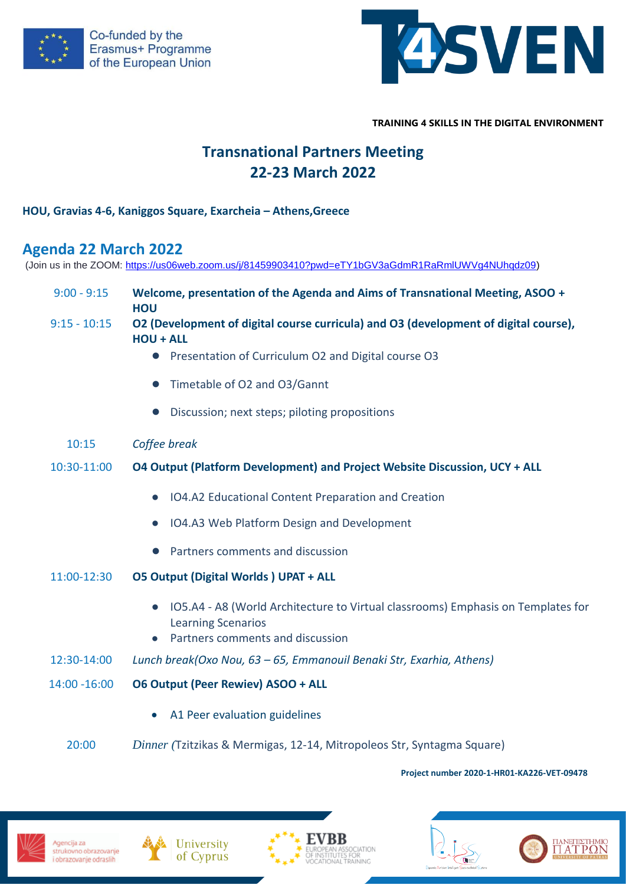



**TRAINING 4 SKILLS IN THE DIGITAL ENVIRONMENT**

# **Transnational Partners Meeting 22-23 March 2022**

### **HOU, Gravias 4-6, Kaniggos Square, Exarcheia – Athens,Greece**

## **Agenda 22 March 2022**

(Join us in the ZOOM: [https://us06web.zoom.us/j/81459903410?pwd=eTY1bGV3aGdmR1RaRmlUWVg4NUhqdz09\)](https://us06web.zoom.us/j/81459903410?pwd=eTY1bGV3aGdmR1RaRmlUWVg4NUhqdz09)

| $9:00 - 9:15$  | Welcome, presentation of the Agenda and Aims of Transnational Meeting, ASOO +<br><b>HOU</b>                                                                                 |
|----------------|-----------------------------------------------------------------------------------------------------------------------------------------------------------------------------|
| $9:15 - 10:15$ | O2 (Development of digital course curricula) and O3 (development of digital course),<br><b>HOU + ALL</b>                                                                    |
|                | Presentation of Curriculum O2 and Digital course O3<br>$\bullet$                                                                                                            |
|                | Timetable of O2 and O3/Gannt<br>$\bullet$                                                                                                                                   |
|                | Discussion; next steps; piloting propositions                                                                                                                               |
| 10:15          | Coffee break                                                                                                                                                                |
| 10:30-11:00    | O4 Output (Platform Development) and Project Website Discussion, UCY + ALL                                                                                                  |
|                | IO4.A2 Educational Content Preparation and Creation<br>$\bullet$                                                                                                            |
|                | IO4.A3 Web Platform Design and Development                                                                                                                                  |
|                | Partners comments and discussion<br>$\bullet$                                                                                                                               |
| 11:00-12:30    | <b>05 Output (Digital Worlds) UPAT + ALL</b>                                                                                                                                |
|                | IO5.A4 - A8 (World Architecture to Virtual classrooms) Emphasis on Templates for<br>$\bullet$<br><b>Learning Scenarios</b><br>Partners comments and discussion<br>$\bullet$ |
| 12:30-14:00    | Lunch break(Oxo Nou, 63 – 65, Emmanouil Benaki Str, Exarhia, Athens)                                                                                                        |
| 14:00 - 16:00  | <b>06 Output (Peer Rewiev) ASOO + ALL</b>                                                                                                                                   |
|                | A1 Peer evaluation guidelines                                                                                                                                               |
| 20:00          | Dinner (Tzitzikas & Mermigas, 12-14, Mitropoleos Str, Syntagma Square)                                                                                                      |

#### **Project number 2020-1-HR01-KA226-VET-09478**